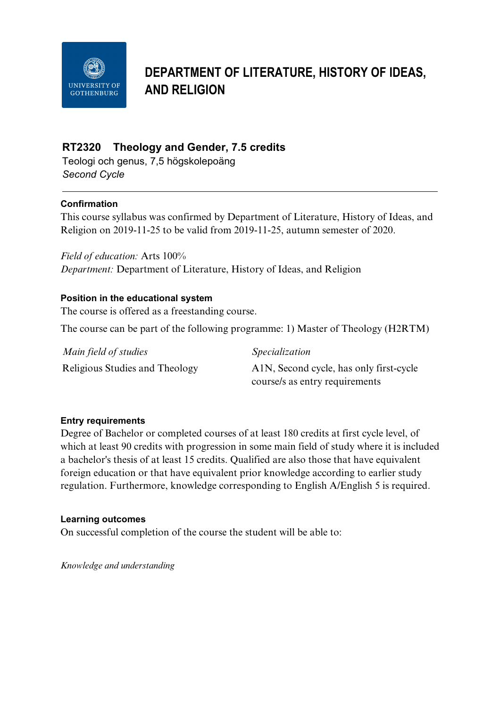

# **DEPARTMENT OF LITERATURE, HISTORY OF IDEAS, AND RELIGION**

# **RT2320 Theology and Gender, 7.5 credits**

Teologi och genus, 7,5 högskolepoäng *Second Cycle*

# **Confirmation**

This course syllabus was confirmed by Department of Literature, History of Ideas, and Religion on 2019-11-25 to be valid from 2019-11-25, autumn semester of 2020.

*Field of education:* Arts 100% *Department:* Department of Literature, History of Ideas, and Religion

# **Position in the educational system**

The course is offered as a freestanding course.

The course can be part of the following programme: 1) Master of Theology (H2RTM)

*Main field of studies Specialization*

Religious Studies and Theology A1N, Second cycle, has only first-cycle course/s as entry requirements

# **Entry requirements**

Degree of Bachelor or completed courses of at least 180 credits at first cycle level, of which at least 90 credits with progression in some main field of study where it is included a bachelor's thesis of at least 15 credits. Qualified are also those that have equivalent foreign education or that have equivalent prior knowledge according to earlier study regulation. Furthermore, knowledge corresponding to English A/English 5 is required.

# **Learning outcomes**

On successful completion of the course the student will be able to:

*Knowledge and understanding*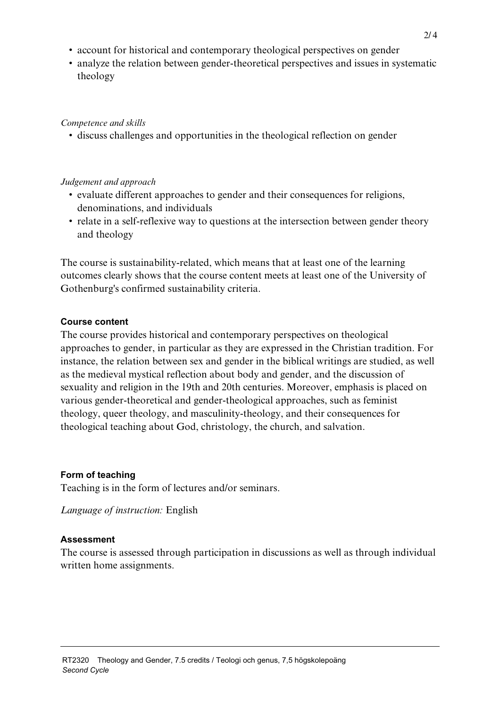- account for historical and contemporary theological perspectives on gender
- analyze the relation between gender-theoretical perspectives and issues in systematic theology

# *Competence and skills*

• discuss challenges and opportunities in the theological reflection on gender

#### *Judgement and approach*

- evaluate different approaches to gender and their consequences for religions, denominations, and individuals
- relate in a self-reflexive way to questions at the intersection between gender theory and theology

The course is sustainability-related, which means that at least one of the learning outcomes clearly shows that the course content meets at least one of the University of Gothenburg's confirmed sustainability criteria.

#### **Course content**

The course provides historical and contemporary perspectives on theological approaches to gender, in particular as they are expressed in the Christian tradition. For instance, the relation between sex and gender in the biblical writings are studied, as well as the medieval mystical reflection about body and gender, and the discussion of sexuality and religion in the 19th and 20th centuries. Moreover, emphasis is placed on various gender-theoretical and gender-theological approaches, such as feminist theology, queer theology, and masculinity-theology, and their consequences for theological teaching about God, christology, the church, and salvation.

# **Form of teaching**

Teaching is in the form of lectures and/or seminars.

*Language of instruction:* English

# **Assessment**

The course is assessed through participation in discussions as well as through individual written home assignments.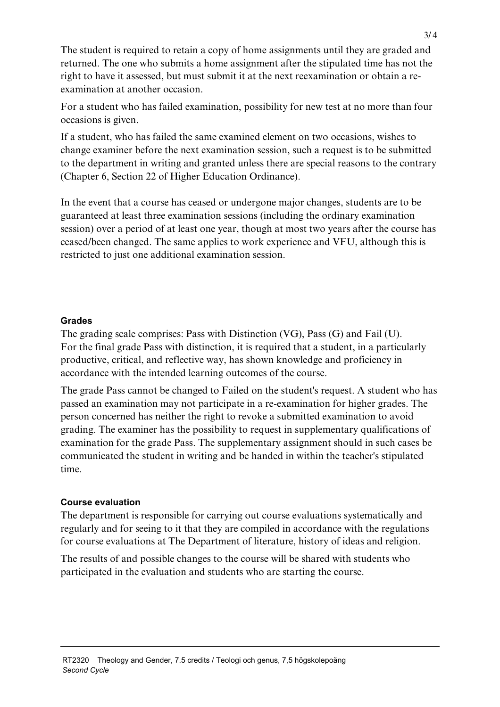The student is required to retain a copy of home assignments until they are graded and returned. The one who submits a home assignment after the stipulated time has not the right to have it assessed, but must submit it at the next reexamination or obtain a reexamination at another occasion.

For a student who has failed examination, possibility for new test at no more than four occasions is given.

If a student, who has failed the same examined element on two occasions, wishes to change examiner before the next examination session, such a request is to be submitted to the department in writing and granted unless there are special reasons to the contrary (Chapter 6, Section 22 of Higher Education Ordinance).

In the event that a course has ceased or undergone major changes, students are to be guaranteed at least three examination sessions (including the ordinary examination session) over a period of at least one year, though at most two years after the course has ceased/been changed. The same applies to work experience and VFU, although this is restricted to just one additional examination session.

#### **Grades**

The grading scale comprises: Pass with Distinction (VG), Pass (G) and Fail (U). For the final grade Pass with distinction, it is required that a student, in a particularly productive, critical, and reflective way, has shown knowledge and proficiency in accordance with the intended learning outcomes of the course.

The grade Pass cannot be changed to Failed on the student's request. A student who has passed an examination may not participate in a re-examination for higher grades. The person concerned has neither the right to revoke a submitted examination to avoid grading. The examiner has the possibility to request in supplementary qualifications of examination for the grade Pass. The supplementary assignment should in such cases be communicated the student in writing and be handed in within the teacher's stipulated time.

# **Course evaluation**

The department is responsible for carrying out course evaluations systematically and regularly and for seeing to it that they are compiled in accordance with the regulations for course evaluations at The Department of literature, history of ideas and religion.

The results of and possible changes to the course will be shared with students who participated in the evaluation and students who are starting the course.